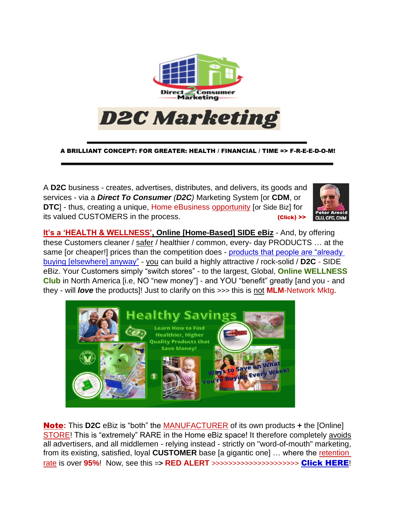

A BRILLIANT CONCEPT: FOR GREATER: HEALTH / FINANCIAL / TIME => F-R-E-E-D-O-M!

A **D2C** business - creates, advertises, distributes, and delivers, its goods and services - via a *Direct To Consumer (D2C)* Marketing System [or **CDM**, or **DTC**] - thus, creating a unique, Home eBusiness opportunity [or Side Biz] for its valued CUSTOMERS in the process.



**It's a 'HEALTH & WELLNESS', Online [Home-Based] SIDE eBiz** - And, by offering these Customers cleaner / safer / healthier / common, every- day PRODUCTS … at the same [or cheaper!] prices than the competition does - products that people are "already [buying \[elsewhere\] anyway"](https://www.keepandshare.com/doc20/23368/prod-list-converted-pdf-157k?da=y) - you can build a highly attractive / rock-solid / **D2C** - SIDE eBiz. Your Customers simply "switch stores" - to the largest, Global, **Online WELLNESS Club** in North America [i.e, NO "new money"] - and YOU "benefit" greatly [and you - and they - will *love* the products]! Just to clarify on this >>> this is not **MLM**-Network Mktg.



Note**:** This **D2C** eBiz is "both" the MANUFACTURER of its own products **+** the [Online] STORE! This is "extremely" RARE in the Home eBiz space! It therefore completely avoids all advertisers, and all middlemen - relying instead - strictly on "word-of-mouth" marketing, from its existing, satisfied, loyal **CUSTOMER** base [a gigantic one] … where the retention rate is over **95%**! Now, see this =**> RED ALERT** >>>>>>>>>>>>>>>>>>>>> [Click HERE](https://alert2perils.com/)!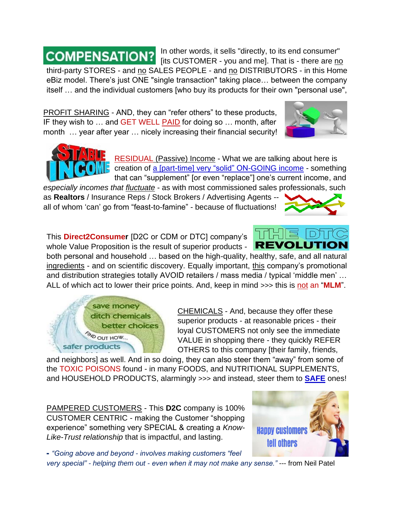[its CUSTOMER - you and me]. That is - there are no third-party STORES - and no SALES PEOPLE - and no DISTRIBUTORS - in this Home eBiz model. There's just ONE "single transaction" taking place… between the company itself … and the individual customers [who buy its products for their own "personal use",

PROFIT SHARING - AND, they can "refer others" to these products, IF they wish to … and GET WELL PAID for doing so … month, after month … year after year … nicely increasing their financial security!

> RESIDUAL (Passive) Income - What we are talking about here is creation of [a \[part-time\] very "solid" ON-GOING income](https://www.keepandshare.com/doc20/22980/residual-converted-pdf-455k?da=y) - something that can "supplement" [or even "replace"] one's current income, and

In other words, it sells "directly, to its end consumer"

*especially incomes that fluctuate* - as with most commissioned sales professionals, such as **Realtors** / Insurance Reps / Stock Brokers / Advertising Agents - all of whom 'can' go from "feast-to-famine" - because of fluctuations!

This **Direct2Consumer** [D2C or CDM or DTC] company's whole Value Proposition is the result of superior products -

both personal and household … based on the high-quality, healthy, safe, and all natural ingredients - and on scientific discovery. Equally important, this company's promotional and distribution strategies totally AVOID retailers / mass media / typical 'middle men' … ALL of which act to lower their price points. And, keep in mind >>> this is not an "**MLM**".

> CHEMICALS - And, because they offer these superior products - at reasonable prices - their loyal CUSTOMERS not only see the immediate VALUE in shopping there - they quickly REFER OTHERS to this company [their family, friends,

and neighbors] as well. And in so doing, they can also steer them "away" from some of the TOXIC POISONS found - in many FOODS, and NUTRITIONAL SUPPLEMENTS, and HOUSEHOLD PRODUCTS, alarmingly >>> and instead, steer them to **[SAFE](https://www.keepandshare.com/doc20/23043/danger-converted-pdf-551k?da=y)** ones!

PAMPERED CUSTOMERS - This **D2C** company is 100% CUSTOMER CENTRIC - making the Customer "shopping experience" something very SPECIAL & creating a *Know-Like-Trust relationship* that is impactful, and lasting.

- *"Going above and beyond - involves making customers "feel*

*very special" - helping them out - even when it may not make any sense."* --- from Neil Patel